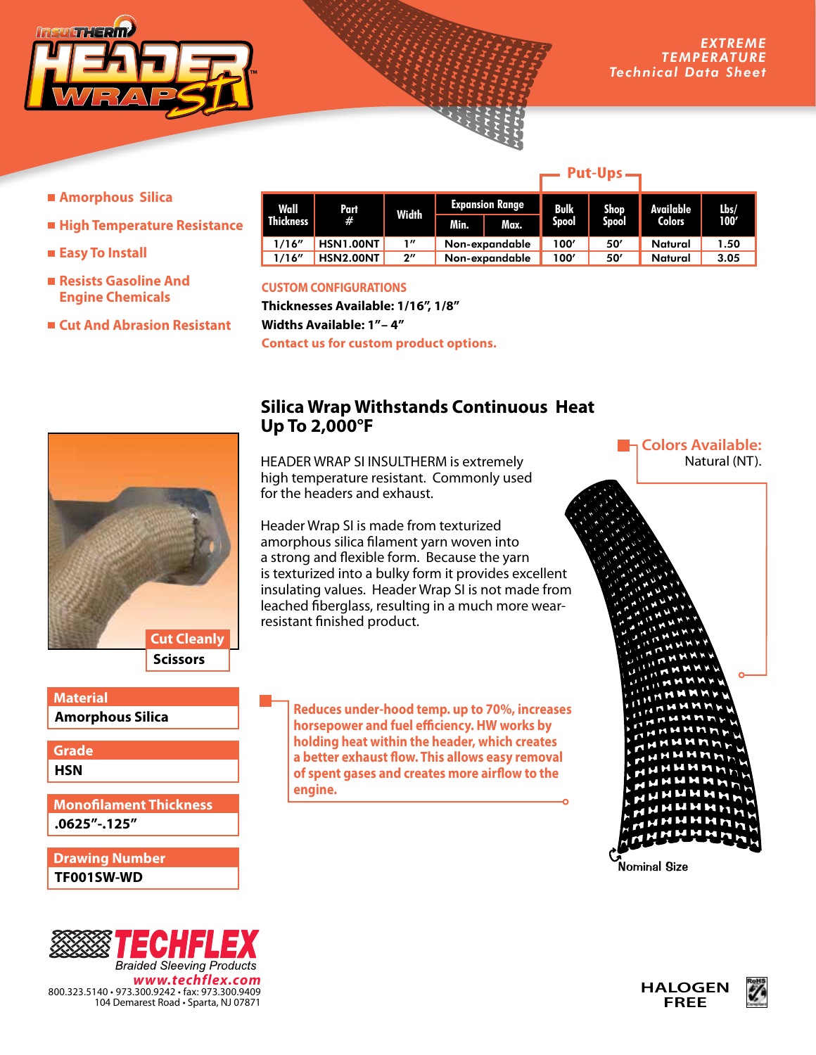

- **Amorphous Silica**
- **High Temperature Resistance**
- **Easy To Install**
- **Resists Gasoline And Engine Chemicals**
- **Cut And Abrasion Resistant**

| Wall             | Part             | Width              |                | <b>Expansion Range</b> | <b>Bulk</b> | Shop.        | Available     | Lbs/<br>100' |
|------------------|------------------|--------------------|----------------|------------------------|-------------|--------------|---------------|--------------|
| <b>Thickness</b> | #                |                    | Min.           | Max.                   | Spool       | <b>Spool</b> | <b>Colors</b> |              |
| 1/16''           | HSN1.00NT        | 1''                | Non-expandable |                        | 100'        | 50'          | Natural       | 1.50         |
| 1/16''           | <b>HSN2.00NT</b> | $2^{\prime\prime}$ | Non-expandable |                        | 100′        | 50'          | Natural       | 3.05         |

## **CUSTOM CONFIGURATIONS**

**Thicknesses Available: 1/16", 1/8" Widths Available: 1"– 4" Contact us for custom product options.**



**Amorphous Silica Material**

**HSN Grade**

**.0625"-.125" Monofilament Thickness**

**TF001SW-WD Drawing Number**



## **Silica Wrap Withstands Continuous Heat Up To 2,000°F**

HEADER WRAP SI INSULTHERM is extremely high temperature resistant. Commonly used for the headers and exhaust.

Header Wrap SI is made from texturized amorphous silica filament yarn woven into a strong and flexible form. Because the yarn is texturized into a bulky form it provides excellent insulating values. Header Wrap SI is not made from leached fiberglass, resulting in a much more wearresistant finished product.

**Reduces under-hood temp. up to 70%, increases horsepower and fuel efficiency. HW works by holding heat within the header, which creates a better exhaust flow. This allows easy removal of spent gases and creates more airflow to the engine.**

**Colors Available:**

Natural (NT).

Nominal Size





## **Put-Ups**